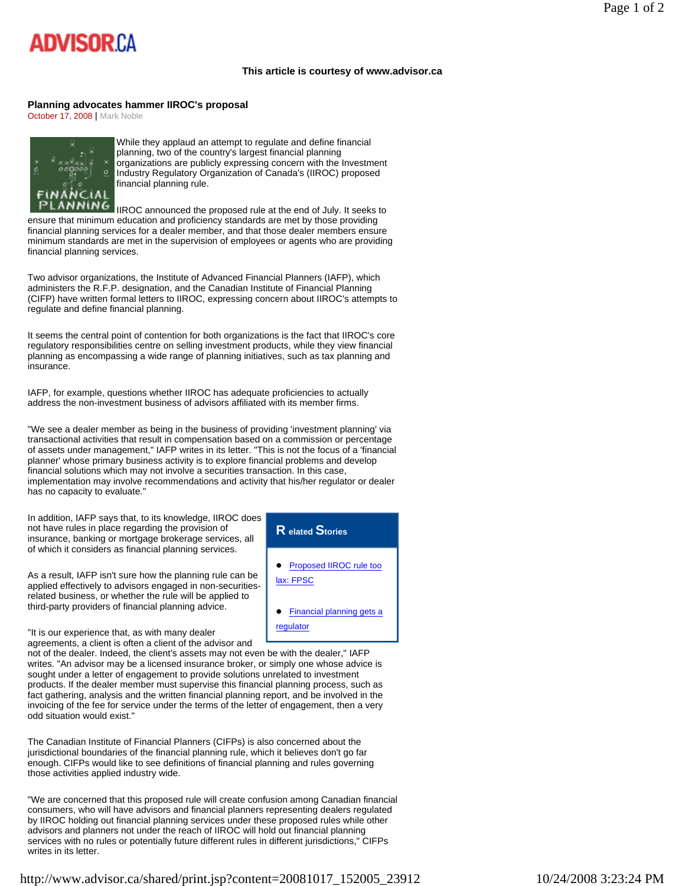## **ADVISOR CA**

## **This article is courtesy of www.advisor.ca**

## **Planning advocates hammer IIROC's proposal**

October 17, 2008 | Mark Noble



While they applaud an attempt to regulate and define financial planning, two of the country's largest financial planning organizations are publicly expressing concern with the Investment Industry Regulatory Organization of Canada's (IIROC) proposed financial planning rule.

LANNING  $\overline{I}$  IIROC announced the proposed rule at the end of July. It seeks to ensure that minimum education and proficiency standards are met by those providing financial planning services for a dealer member, and that those dealer members ensure minimum standards are met in the supervision of employees or agents who are providing financial planning services.

Two advisor organizations, the Institute of Advanced Financial Planners (IAFP), which administers the R.F.P. designation, and the Canadian Institute of Financial Planning (CIFP) have written formal letters to IIROC, expressing concern about IIROC's attempts to regulate and define financial planning.

It seems the central point of contention for both organizations is the fact that IIROC's core regulatory responsibilities centre on selling investment products, while they view financial planning as encompassing a wide range of planning initiatives, such as tax planning and insurance.

IAFP, for example, questions whether IIROC has adequate proficiencies to actually address the non-investment business of advisors affiliated with its member firms.

"We see a dealer member as being in the business of providing 'investment planning' via transactional activities that result in compensation based on a commission or percentage of assets under management," IAFP writes in its letter. "This is not the focus of a 'financial planner' whose primary business activity is to explore financial problems and develop financial solutions which may not involve a securities transaction. In this case, implementation may involve recommendations and activity that his/her regulator or dealer has no capacity to evaluate."

In addition, IAFP says that, to its knowledge, IIROC does not have rules in place regarding the provision of insurance, banking or mortgage brokerage services, all of which it considers as financial planning services.

As a result, IAFP isn't sure how the planning rule can be applied effectively to advisors engaged in non-securitiesrelated business, or whether the rule will be applied to third-party providers of financial planning advice.



"It is our experience that, as with many dealer agreements, a client is often a client of the advisor and

not of the dealer. Indeed, the client's assets may not even be with the dealer," IAFP writes. "An advisor may be a licensed insurance broker, or simply one whose advice is sought under a letter of engagement to provide solutions unrelated to investment products. If the dealer member must supervise this financial planning process, such as fact gathering, analysis and the written financial planning report, and be involved in the invoicing of the fee for service under the terms of the letter of engagement, then a very odd situation would exist."

The Canadian Institute of Financial Planners (CIFPs) is also concerned about the jurisdictional boundaries of the financial planning rule, which it believes don't go far enough. CIFPs would like to see definitions of financial planning and rules governing those activities applied industry wide.

"We are concerned that this proposed rule will create confusion among Canadian financial consumers, who will have advisors and financial planners representing dealers regulated by IIROC holding out financial planning services under these proposed rules while other advisors and planners not under the reach of IIROC will hold out financial planning services with no rules or potentially future different rules in different jurisdictions," CIFPs writes in its letter.